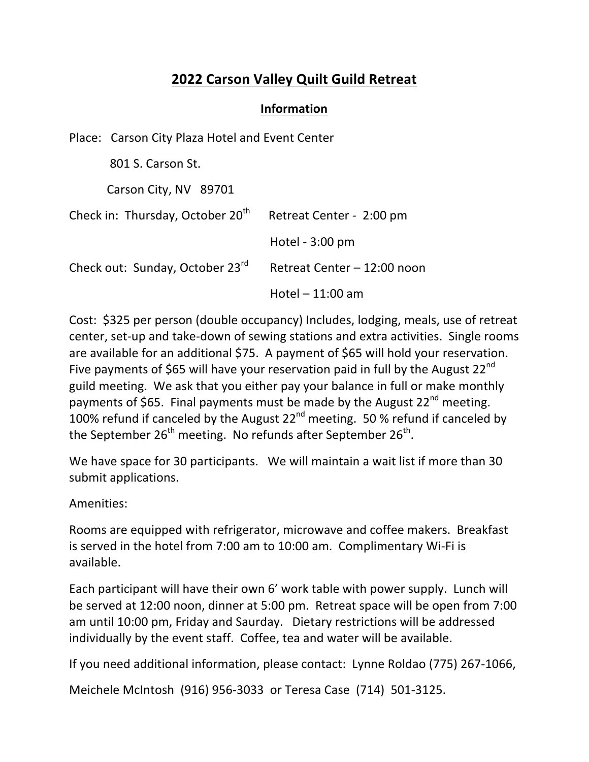## **2022 Carson Valley Quilt Guild Retreat**

## **Information**

|                                              | Place: Carson City Plaza Hotel and Event Center |                          |                             |  |  |
|----------------------------------------------|-------------------------------------------------|--------------------------|-----------------------------|--|--|
|                                              | 801 S. Carson St.                               |                          |                             |  |  |
|                                              | Carson City, NV 89701                           |                          |                             |  |  |
| Check in: Thursday, October 20 <sup>th</sup> |                                                 | Retreat Center - 2:00 pm |                             |  |  |
|                                              |                                                 |                          | Hotel $-3:00$ pm            |  |  |
|                                              | Check out: Sunday, October 23rd                 |                          | Retreat Center - 12:00 noon |  |  |
|                                              |                                                 |                          | Hotel $-11:00$ am           |  |  |

Cost: \$325 per person (double occupancy) Includes, lodging, meals, use of retreat center, set-up and take-down of sewing stations and extra activities. Single rooms are available for an additional \$75. A payment of \$65 will hold your reservation. Five payments of \$65 will have your reservation paid in full by the August  $22^{nd}$ guild meeting. We ask that you either pay your balance in full or make monthly payments of \$65. Final payments must be made by the August  $22^{nd}$  meeting. 100% refund if canceled by the August  $22^{nd}$  meeting. 50 % refund if canceled by the September  $26^{th}$  meeting. No refunds after September  $26^{th}$ .

We have space for 30 participants. We will maintain a wait list if more than 30 submit applications.

Amenities:

Rooms are equipped with refrigerator, microwave and coffee makers. Breakfast is served in the hotel from 7:00 am to 10:00 am. Complimentary Wi-Fi is available.

Each participant will have their own 6' work table with power supply. Lunch will be served at 12:00 noon, dinner at 5:00 pm. Retreat space will be open from 7:00 am until 10:00 pm, Friday and Saurday. Dietary restrictions will be addressed individually by the event staff. Coffee, tea and water will be available.

If you need additional information, please contact: Lynne Roldao (775) 267-1066,

Meichele McIntosh (916) 956-3033 or Teresa Case (714) 501-3125.